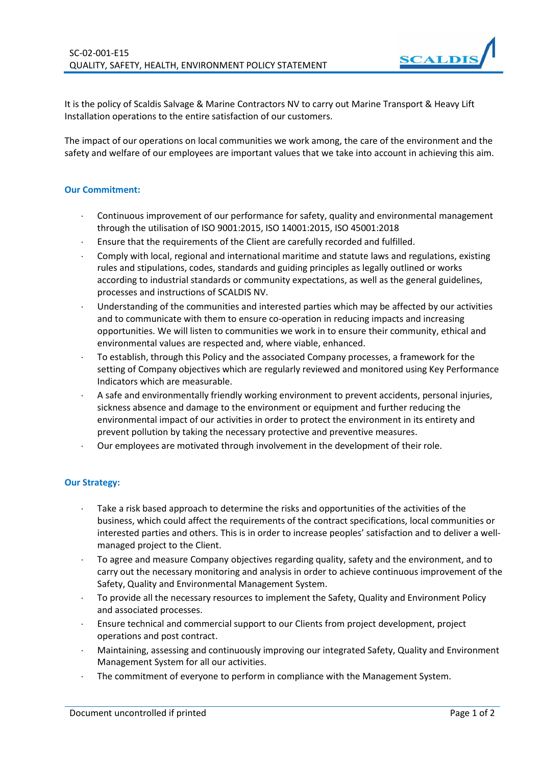

It is the policy of Scaldis Salvage & Marine Contractors NV to carry out Marine Transport & Heavy Lift Installation operations to the entire satisfaction of our customers.

The impact of our operations on local communities we work among, the care of the environment and the safety and welfare of our employees are important values that we take into account in achieving this aim.

## **Our Commitment:**

- Continuous improvement of our performance for safety, quality and environmental management through the utilisation of ISO 9001:2015, ISO 14001:2015, ISO 45001:2018
- Ensure that the requirements of the Client are carefully recorded and fulfilled.
- Comply with local, regional and international maritime and statute laws and regulations, existing rules and stipulations, codes, standards and guiding principles as legally outlined or works according to industrial standards or community expectations, as well as the general guidelines, processes and instructions of SCALDIS NV.
- Understanding of the communities and interested parties which may be affected by our activities and to communicate with them to ensure co-operation in reducing impacts and increasing opportunities. We will listen to communities we work in to ensure their community, ethical and environmental values are respected and, where viable, enhanced.
- To establish, through this Policy and the associated Company processes, a framework for the setting of Company objectives which are regularly reviewed and monitored using Key Performance Indicators which are measurable.
- A safe and environmentally friendly working environment to prevent accidents, personal injuries, sickness absence and damage to the environment or equipment and further reducing the environmental impact of our activities in order to protect the environment in its entirety and prevent pollution by taking the necessary protective and preventive measures.
- Our employees are motivated through involvement in the development of their role.

## **Our Strategy:**

- Take a risk based approach to determine the risks and opportunities of the activities of the business, which could affect the requirements of the contract specifications, local communities or interested parties and others. This is in order to increase peoples' satisfaction and to deliver a wellmanaged project to the Client.
- To agree and measure Company objectives regarding quality, safety and the environment, and to carry out the necessary monitoring and analysis in order to achieve continuous improvement of the Safety, Quality and Environmental Management System.
- To provide all the necessary resources to implement the Safety, Quality and Environment Policy and associated processes.
- Ensure technical and commercial support to our Clients from project development, project operations and post contract.
- Maintaining, assessing and continuously improving our integrated Safety, Quality and Environment Management System for all our activities.
- The commitment of everyone to perform in compliance with the Management System.